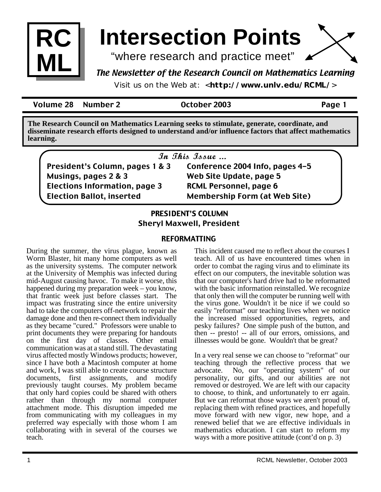

# **Intersection Points**

"where research and practice meet"

### The Newsletter of the Research Council on Mathematics Learning

Visit us on the Web at: <**http://www.unlv.edu/RCML/**>

Volume 28 Number 2 October 2003 Page 1

**The Research Council on Mathematics Learning seeks to stimulate, generate, coordinate, and disseminate research efforts designed to understand and/or influence factors that affect mathematics learning.**

|  |  | In This Issue |
|--|--|---------------|
|--|--|---------------|

President's Column, pages 1 & 3 Musings, pages 2 & 3 Elections Information, page 3 Election Ballot, inserted

Conference 2004 Info, pages 4-5 Web Site Update, page 5 RCML Personnel, page 6 Membership Form (at Web Site)

### **PRESIDENT'S COLUMN** Sheryl Maxwell, President

### REFORMATTING

During the summer, the virus plague, known as Worm Blaster, hit many home computers as well as the university systems. The computer network at the University of Memphis was infected during mid-August causing havoc. To make it worse, this happened during my preparation week – you know, that frantic week just before classes start. The impact was frustrating since the entire university had to take the computers off-network to repair the damage done and then re-connect them individually as they became "cured." Professors were unable to print documents they were preparing for handouts on the first day of classes. Other email communication was at a stand still. The devastating virus affected mostly Windows products; however, since I have both a Macintosh computer at home and work, I was still able to create course structure documents, first assignments, and modify previously taught courses. My problem became that only hard copies could be shared with others rather than through my normal computer attachment mode. This disruption impeded me from communicating with my colleagues in my preferred way especially with those whom I am collaborating with in several of the courses we teach.

This incident caused me to reflect about the courses I teach. All of us have encountered times when in order to combat the raging virus and to eliminate its effect on our computers, the inevitable solution was that our computer's hard drive had to be reformatted with the basic information reinstalled. We recognize that only then will the computer be running well with the virus gone. Wouldn't it be nice if we could so easily "reformat" our teaching lives when we notice the increased missed opportunities, regrets, and pesky failures? One simple push of the button, and then -- presto! -- all of our errors, omissions, and illnesses would be gone. Wouldn't that be great?

In a very real sense we can choose to "reformat" our teaching through the reflective process that we advocate. No, our "operating system" of our personality, our gifts, and our abilities are not removed or destroyed. We are left with our capacity to choose, to think, and unfortunately to err again. But we can reformat those ways we aren't proud of, replacing them with refined practices, and hopefully move forward with new vigor, new hope, and a renewed belief that we are effective individuals in mathematics education. I can start to reform my ways with a more positive attitude (cont'd on p. 3)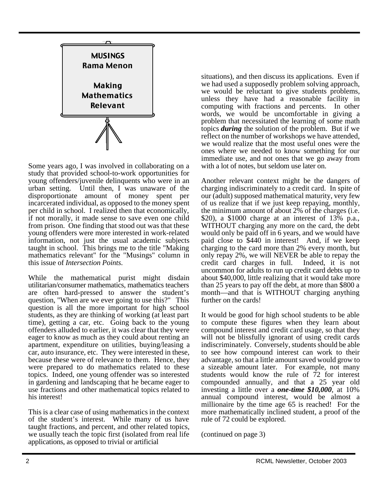

Some years ago, I was involved in collaborating on a study that provided school-to-work opportunities for young offenders/juvenile delinquents who were in an urban setting. Until then, I was unaware of the disproportionate amount of money spent per incarcerated individual, as opposed to the money spent per child in school. I realized then that economically, if not morally, it made sense to save even one child from prison. One finding that stood out was that these young offenders were more interested in work-related information, not just the usual academic subjects taught in school. This brings me to the title "Making mathematics relevant" for the "Musings" column in this issue of *Intersection Points*.

While the mathematical purist might disdain utilitarian/consumer mathematics, mathematics teachers are often hard-pressed to answer the student's question, "When are we ever going to use this?" This question is all the more important for high school students, as they are thinking of working (at least part time), getting a car, etc. Going back to the young offenders alluded to earlier, it was clear that they were eager to know as much as they could about renting an apartment, expenditure on utilities, buying/leasing a car, auto insurance, etc. They were interested in these, because these were of relevance to them. Hence, they were prepared to do mathematics related to these topics. Indeed, one young offender was so interested in gardening and landscaping that he became eager to use fractions and other mathematical topics related to his interest!

This is a clear case of using mathematics in the context of the student's interest. While many of us have taught fractions, and percent, and other related topics, we usually teach the topic first (isolated from real life applications, as opposed to trivial or artificial

situations), and then discuss its applications. Even if we had used a supposedly problem solving approach, we would be reluctant to give students problems, unless they have had a reasonable facility in computing with fractions and percents. In other words, we would be uncomfortable in giving a problem that necessitated the learning of some math topics *during* the solution of the problem. But if we reflect on the number of workshops we have attended, we would realize that the most useful ones were the ones where we needed to know something for our immediate use, and not ones that we go away from with a lot of notes, but seldom use later on.

Another relevant context might be the dangers of charging indiscriminately to a credit card. In spite of our (adult) supposed mathematical maturity, very few of us realize that if we just keep repaying, monthly, the minimum amount of about 2% of the charges (i.e. \$20), a \$1000 charge at an interest of 13% p.a., WITHOUT charging any more on the card, the debt would only be paid off in 6 years, and we would have paid close to \$440 in interest! And, if we keep charging to the card more than 2% every month, but only repay 2%, we will NEVER be able to repay the credit card charges in full. Indeed, it is not uncommon for adults to run up credit card debts up to about \$40,000, little realizing that it would take more than 25 years to pay off the debt, at more than \$800 a month—and that is WITHOUT charging anything further on the cards!

It would be good for high school students to be able to compute these figures when they learn about compound interest and credit card usage, so that they will not be blissfully ignorant of using credit cards indiscriminately. Conversely, students should be able to see how compound interest can work to their advantage, so that a little amount saved would grow to a sizeable amount later. For example, not many students would know the rule of 72 for interest compounded annually, and that a 25 year old investing a little over a *one-time \$10,000*, at 10% annual compound interest, would be almost a millionaire by the time age 65 is reached! For the more mathematically inclined student, a proof of the rule of 72 could be explored.

(continued on page 3)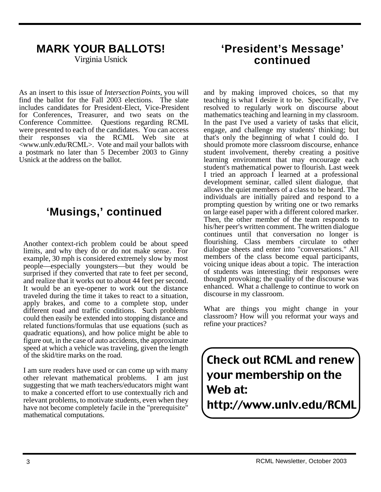# **MARK YOUR BALLOTS!**

Virginia Usnick

As an insert to this issue of *Intersection Points*, you will find the ballot for the Fall 2003 elections. The slate includes candidates for President-Elect, Vice-President for Conferences, Treasurer, and two seats on the Conference Committee. Questions regarding RCML were presented to each of the candidates. You can access their responses via the RCML Web site at <www.unlv.edu/RCML>. Vote and mail your ballots with a postmark no later than 5 December 2003 to Ginny Usnick at the address on the ballot.

# **'Musings,' continued**

Another context-rich problem could be about speed limits, and why they do or do not make sense. For example, 30 mph is considered extremely slow by most people—especially youngsters—but they would be surprised if they converted that rate to feet per second, and realize that it works out to about 44 feet per second. It would be an eye-opener to work out the distance traveled during the time it takes to react to a situation, apply brakes, and come to a complete stop, under different road and traffic conditions. Such problems could then easily be extended into stopping distance and related functions/formulas that use equations (such as quadratic equations), and how police might be able to figure out, in the case of auto accidents, the approximate speed at which a vehicle was traveling, given the length of the skid/tire marks on the road.

I am sure readers have used or can come up with many other relevant mathematical problems. I am just suggesting that we math teachers/educators might want to make a concerted effort to use contextually rich and relevant problems, to motivate students, even when they have not become completely facile in the "prerequisite" mathematical computations.

## **'President's Message' continued**

and by making improved choices, so that my teaching is what I desire it to be. Specifically, I've resolved to regularly work on discourse about mathematics teaching and learning in my classroom. In the past I've used a variety of tasks that elicit, engage, and challenge my students' thinking; but that's only the beginning of what I could do. I should promote more classroom discourse, enhance student involvement, thereby creating a positive learning environment that may encourage each student's mathematical power to flourish. Last week I tried an approach I learned at a professional development seminar, called silent dialogue*,* that allows the quiet members of a class to be heard. The individuals are initially paired and respond to a prompting question by writing one or two remarks on large easel paper with a different colored marker. Then, the other member of the team responds to his/her peer's written comment. The written dialogue continues until that conversation no longer is flourishing. Class members circulate to other dialogue sheets and enter into "conversations." All members of the class become equal participants, voicing unique ideas about a topic. The interaction of students was interesting; their responses were thought provoking; the quality of the discourse was enhanced. What a challenge to continue to work on discourse in my classroom.

What are things you might change in your classroom? How will you reformat your ways and refine your practices?

Check out RCML and renew your membership on the Web at: http://www.unlv.edu/RCML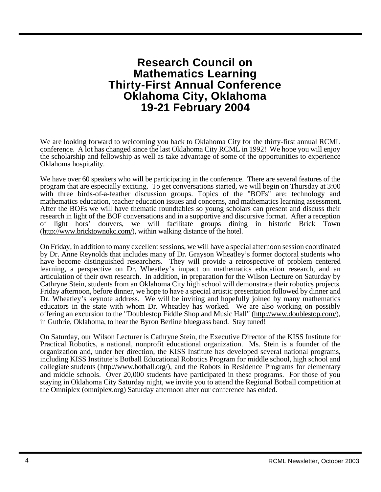### **Research Council on Mathematics Learning Thirty-First Annual Conference Oklahoma City, Oklahoma 19-21 February 2004**

We are looking forward to welcoming you back to Oklahoma City for the thirty-first annual RCML conference. A lot has changed since the last Oklahoma City RCML in 1992! We hope you will enjoy the scholarship and fellowship as well as take advantage of some of the opportunities to experience Oklahoma hospitality.

We have over 60 speakers who will be participating in the conference. There are several features of the program that are especially exciting. To get conversations started, we will begin on Thursday at 3:00 with three birds-of-a-feather discussion groups. Topics of the "BOFs" are: technology and mathematics education, teacher education issues and concerns, and mathematics learning assessment. After the BOFs we will have thematic roundtables so young scholars can present and discuss their research in light of the BOF conversations and in a supportive and discursive format. After a reception of light hors' douvers, we will facilitate groups dining in historic Brick Town (http://www.bricktownokc.com/), within walking distance of the hotel.

On Friday, in addition to many excellent sessions, we will have a special afternoon session coordinated by Dr. Anne Reynolds that includes many of Dr. Grayson Wheatley's former doctoral students who have become distinguished researchers. They will provide a retrospective of problem centered learning, a perspective on Dr. Wheatley's impact on mathematics education research, and an articulation of their own research. In addition, in preparation for the Wilson Lecture on Saturday by Cathryne Stein, students from an Oklahoma City high school will demonstrate their robotics projects. Friday afternoon, before dinner, we hope to have a special artistic presentation followed by dinner and Dr. Wheatley's keynote address. We will be inviting and hopefully joined by many mathematics educators in the state with whom Dr. Wheatley has worked. We are also working on possibly offering an excursion to the "Doublestop Fiddle Shop and Music Hall" (http://www.doublestop.com/), in Guthrie, Oklahoma, to hear the Byron Berline bluegrass band. Stay tuned!

On Saturday, our Wilson Lecturer is Cathryne Stein, the Executive Director of the KISS Institute for Practical Robotics, a national, nonprofit educational organization. Ms. Stein is a founder of the organization and, under her direction, the KISS Institute has developed several national programs, including KISS Institute's Botball Educational Robotics Program for middle school, high school and collegiate students (http://www.botball.org/), and the Robots in Residence Programs for elementary and middle schools. Over 20,000 students have participated in these programs. For those of you staying in Oklahoma City Saturday night, we invite you to attend the Regional Botball competition at the Omniplex (omniplex.org) Saturday afternoon after our conference has ended.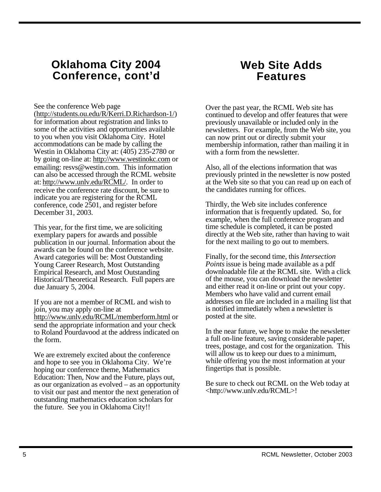### **Oklahoma City 2004 Conference, cont'd**

See the conference Web page

(http://students.ou.edu/R/Kerri.D.Richardson-1/) for information about registration and links to some of the activities and opportunities available to you when you visit Oklahoma City. Hotel accommodations can be made by calling the Westin in Oklahoma City at: (405) 235-2780 or by going on-line at: http://www.westinokc.com or emailing: resvs@westin.com. This information can also be accessed through the RCML website at: http://www.unlv.edu/RCML/. In order to receive the conference rate discount, be sure to indicate you are registering for the RCML conference, code 2501, and register before December 31, 2003.

This year, for the first time, we are soliciting exemplary papers for awards and possible publication in our journal. Information about the awards can be found on the conference website. Award categories will be: Most Outstanding Young Career Research, Most Outstanding Empirical Research, and Most Outstanding Historical/Theoretical Research. Full papers are due January 5, 2004.

If you are not a member of RCML and wish to join, you may apply on-line at http://www.unlv.edu/RCML/memberform.html or send the appropriate information and your check to Roland Pourdavood at the address indicated on the form.

We are extremely excited about the conference and hope to see you in Oklahoma City. We're hoping our conference theme, Mathematics Education: Then, Now and the Future, plays out, as our organization as evolved – as an opportunity to visit our past and mentor the next generation of outstanding mathematics education scholars for the future. See you in Oklahoma City!!

# **Web Site Adds Features**

Over the past year, the RCML Web site has continued to develop and offer features that were previously unavailable or included only in the newsletters. For example, from the Web site, you can now print out or directly submit your membership information, rather than mailing it in with a form from the newsletter.

Also, all of the elections information that was previously printed in the newsletter is now posted at the Web site so that you can read up on each of the candidates running for offices.

Thirdly, the Web site includes conference information that is frequently updated. So, for example, when the full conference program and time schedule is completed, it can be posted directly at the Web site, rather than having to wait for the next mailing to go out to members.

Finally, for the second time, this *Intersection Points* issue is being made available as a pdf downloadable file at the RCML site. With a click of the mouse, you can download the newsletter and either read it on-line or print out your copy. Members who have valid and current email addresses on file are included in a mailing list that is notified immediately when a newsletter is posted at the site.

In the near future, we hope to make the newsletter a full on-line feature, saving considerable paper, trees, postage, and cost for the organization. This will allow us to keep our dues to a minimum, while offering you the most information at your fingertips that is possible.

Be sure to check out RCML on the Web today at <http://www.unlv.edu/RCML>!